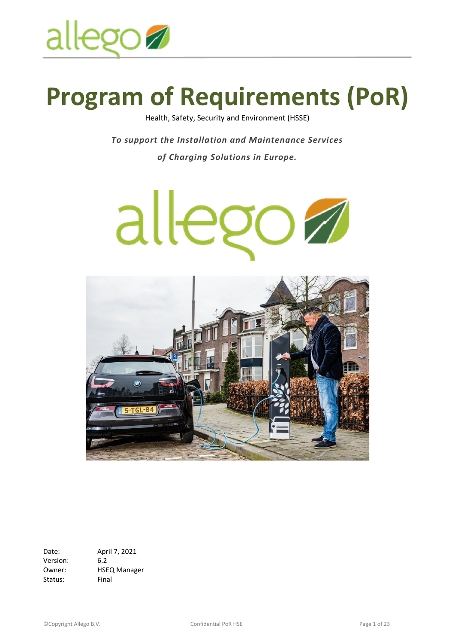

# **Program of Requirements (PoR)**

Health, Safety, Security and Environment (HSSE)

*To support the Installation and Maintenance Services of Charging Solutions in Europe.*





Date: April 7, 2021 Version: 6.2 Owner: HSEQ Manager Status: Final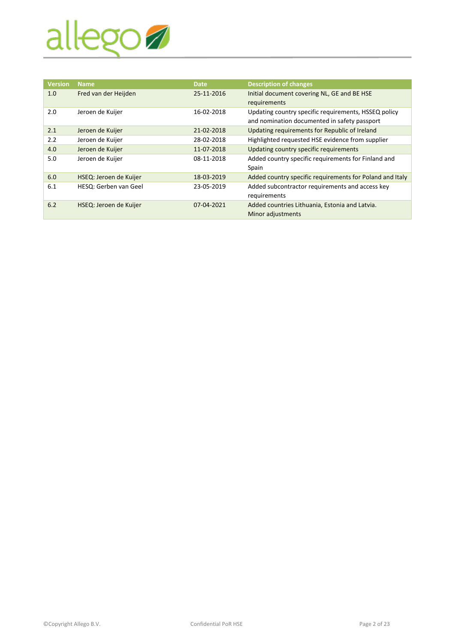

| <b>Version</b> | Name                   | <b>Date</b> | <b>Description of changes</b>                            |
|----------------|------------------------|-------------|----------------------------------------------------------|
| 1.0            | Fred van der Heijden   | 25-11-2016  | Initial document covering NL, GE and BE HSE              |
|                |                        |             | requirements                                             |
| 2.0            | Jeroen de Kuijer       | 16-02-2018  | Updating country specific requirements, HSSEQ policy     |
|                |                        |             | and nomination documented in safety passport             |
| 2.1            | Jeroen de Kuijer       | 21-02-2018  | Updating requirements for Republic of Ireland            |
| 2.2            | Jeroen de Kuijer       | 28-02-2018  | Highlighted requested HSE evidence from supplier         |
| 4.0            | Jeroen de Kuijer       | 11-07-2018  | Updating country specific requirements                   |
| 5.0            | Jeroen de Kuijer       | 08-11-2018  | Added country specific requirements for Finland and      |
|                |                        |             | Spain                                                    |
| 6.0            | HSEQ: Jeroen de Kuijer | 18-03-2019  | Added country specific requirements for Poland and Italy |
| 6.1            | HESQ: Gerben van Geel  | 23-05-2019  | Added subcontractor requirements and access key          |
|                |                        |             | requirements                                             |
| 6.2            | HSEQ: Jeroen de Kuijer | 07-04-2021  | Added countries Lithuania, Estonia and Latvia.           |
|                |                        |             | Minor adjustments                                        |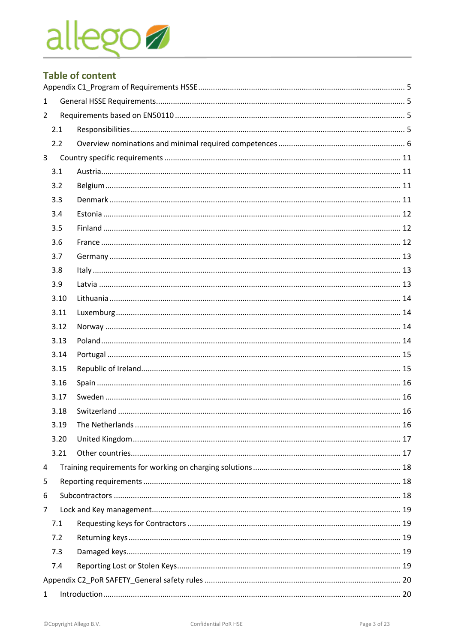# allego

# **Table of content**

| $\mathbf{1}$   |      |                       |  |  |  |
|----------------|------|-----------------------|--|--|--|
| $\overline{2}$ |      |                       |  |  |  |
|                | 2.1  |                       |  |  |  |
|                | 2.2  |                       |  |  |  |
| 3 <sup>7</sup> |      |                       |  |  |  |
|                | 3.1  |                       |  |  |  |
|                | 3.2  |                       |  |  |  |
|                | 3.3  |                       |  |  |  |
|                | 3.4  |                       |  |  |  |
|                | 3.5  |                       |  |  |  |
|                | 3.6  |                       |  |  |  |
|                | 3.7  |                       |  |  |  |
|                | 3.8  |                       |  |  |  |
|                | 3.9  |                       |  |  |  |
|                | 3.10 |                       |  |  |  |
|                | 3.11 |                       |  |  |  |
|                | 3.12 |                       |  |  |  |
|                | 3.13 |                       |  |  |  |
|                | 3.14 |                       |  |  |  |
|                | 3.15 |                       |  |  |  |
|                | 3.16 |                       |  |  |  |
|                | 3.17 |                       |  |  |  |
|                | 3.18 |                       |  |  |  |
|                | 3 19 | The Netherlands<br>16 |  |  |  |
|                | 3.20 |                       |  |  |  |
|                | 3.21 |                       |  |  |  |
| 4              |      |                       |  |  |  |
| 5              |      |                       |  |  |  |
| 6              |      |                       |  |  |  |
| $\overline{7}$ |      |                       |  |  |  |
|                | 7.1  |                       |  |  |  |
|                | 7.2  |                       |  |  |  |
|                | 7.3  |                       |  |  |  |
|                | 7.4  |                       |  |  |  |
|                |      |                       |  |  |  |
| $\mathbf{1}$   |      |                       |  |  |  |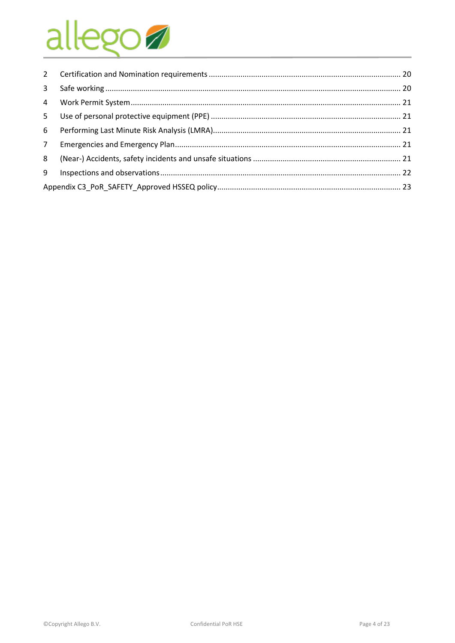# allego

| $2^{\circ}$     |  |  |  |
|-----------------|--|--|--|
| $\mathbf{3}$    |  |  |  |
| $\overline{4}$  |  |  |  |
| 5               |  |  |  |
| 6               |  |  |  |
| $7\overline{ }$ |  |  |  |
| 8               |  |  |  |
| 9               |  |  |  |
|                 |  |  |  |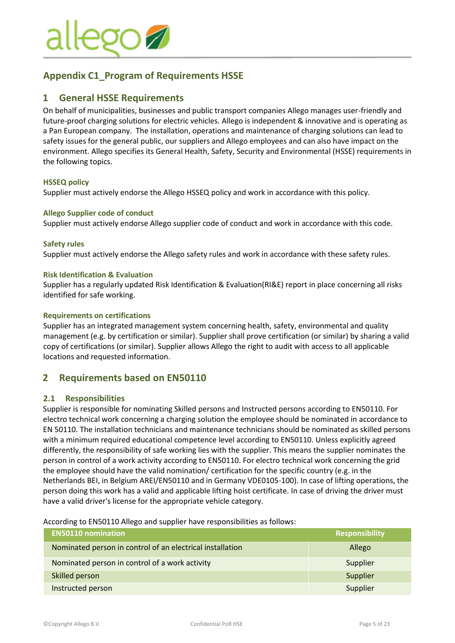

# <span id="page-4-0"></span>**Appendix C1\_Program of Requirements HSSE**

### <span id="page-4-1"></span>**1 General HSSE Requirements**

On behalf of municipalities, businesses and public transport companies Allego manages user-friendly and future-proof charging solutions for electric vehicles. Allego is independent & innovative and is operating as a Pan European company. The installation, operations and maintenance of charging solutions can lead to safety issues for the general public, our suppliers and Allego employees and can also have impact on the environment. Allego specifies its General Health, Safety, Security and Environmental (HSSE) requirements in the following topics.

#### **HSSEQ policy**

Supplier must actively endorse the Allego HSSEQ policy and work in accordance with this policy.

#### **Allego Supplier code of conduct**

Supplier must actively endorse Allego supplier code of conduct and work in accordance with this code.

#### **Safety rules**

Supplier must actively endorse the Allego safety rules and work in accordance with these safety rules.

#### **Risk Identification & Evaluation**

Supplier has a regularly updated Risk Identification & Evaluation(RI&E) report in place concerning all risks identified for safe working.

#### **Requirements on certifications**

Supplier has an integrated management system concerning health, safety, environmental and quality management (e.g. by certification or similar). Supplier shall prove certification (or similar) by sharing a valid copy of certifications (or similar). Supplier allows Allego the right to audit with access to all applicable locations and requested information.

### <span id="page-4-2"></span>**2 Requirements based on EN50110**

#### <span id="page-4-3"></span>**2.1 Responsibilities**

Supplier is responsible for nominating Skilled persons and Instructed persons according to EN50110. For electro technical work concerning a charging solution the employee should be nominated in accordance to EN 50110. The installation technicians and maintenance technicians should be nominated as skilled persons with a minimum required educational competence level according to EN50110. Unless explicitly agreed differently, the responsibility of safe working lies with the supplier. This means the supplier nominates the person in control of a work activity according to EN50110. For electro technical work concerning the grid the employee should have the valid nomination/ certification for the specific country (e.g. in the Netherlands BEI, in Belgium AREI/EN50110 and in Germany VDE0105-100). In case of lifting operations, the person doing this work has a valid and applicable lifting hoist certificate. In case of driving the driver must have a valid driver's license for the appropriate vehicle category.

According to EN50110 Allego and supplier have responsibilities as follows:

| <b>EN50110 nomination</b>                                 | Responsibility |
|-----------------------------------------------------------|----------------|
| Nominated person in control of an electrical installation | Allego         |
| Nominated person in control of a work activity            | Supplier       |
| Skilled person                                            | Supplier       |
| Instructed person                                         | Supplier       |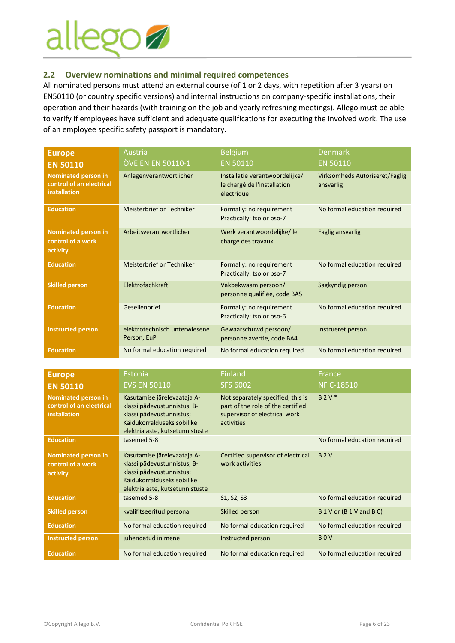

#### <span id="page-5-0"></span>**2.2 Overview nominations and minimal required competences**

All nominated persons must attend an external course (of 1 or 2 days, with repetition after 3 years) on EN50110 (or country specific versions) and internal instructions on company-specific installations, their operation and their hazards (with training on the job and yearly refreshing meetings). Allego must be able to verify if employees have sufficient and adequate qualifications for executing the involved work. The use of an employee specific safety passport is mandatory.

| <b>Europe</b>                                                                 | Austria                                      | <b>Belgium</b>                                                              | <b>Denmark</b>                              |
|-------------------------------------------------------------------------------|----------------------------------------------|-----------------------------------------------------------------------------|---------------------------------------------|
| <b>EN 50110</b>                                                               | ÖVE EN EN 50110-1                            | <b>EN 50110</b>                                                             | <b>EN 50110</b>                             |
| <b>Nominated person in</b><br>control of an electrical<br><b>installation</b> | Anlagenverantwortlicher                      | Installatie verantwoordelijke/<br>le chargé de l'installation<br>électrique | Virksomheds Autoriseret/Faglig<br>ansvarlig |
| <b>Education</b>                                                              | Meisterbrief or Techniker                    | Formally: no requirement<br>Practically: tso or bso-7                       | No formal education required                |
| <b>Nominated person in</b><br>control of a work<br>activity                   | Arbeitsverantwortlicher                      | Werk verantwoordelijke/le<br>chargé des travaux                             | <b>Faglig ansvarlig</b>                     |
| <b>Education</b>                                                              | Meisterbrief or Techniker                    | Formally: no requirement<br>Practically: tso or bso-7                       | No formal education required                |
| <b>Skilled person</b>                                                         | Elektrofachkraft                             | Vakbekwaam persoon/<br>personne qualifiée, code BA5                         | Sagkyndig person                            |
| <b>Education</b>                                                              | Gesellenbrief                                | Formally: no requirement<br>Practically: tso or bso-6                       | No formal education required                |
| <b>Instructed person</b>                                                      | elektrotechnisch unterwiesene<br>Person, EuP | Gewaarschuwd persoon/<br>personne avertie, code BA4                         | Instrueret person                           |
| <b>Education</b>                                                              | No formal education required                 | No formal education required                                                | No formal education required                |

| <b>Europe</b>                                                          | Estonia                                                                                                                                                 | <b>Finland</b>                                                                                                        | <b>France</b>                |
|------------------------------------------------------------------------|---------------------------------------------------------------------------------------------------------------------------------------------------------|-----------------------------------------------------------------------------------------------------------------------|------------------------------|
| <b>EN 50110</b>                                                        | <b>EVS EN 50110</b>                                                                                                                                     | <b>SFS 6002</b>                                                                                                       | <b>NF C-18510</b>            |
| <b>Nominated person in</b><br>control of an electrical<br>installation | Kasutamise järelevaataja A-<br>klassi pädevustunnistus, B-<br>klassi pädevustunnistus;<br>Käidukorralduseks sobilike<br>elektrialaste, kutsetunnistuste | Not separately specified, this is<br>part of the role of the certified<br>supervisor of electrical work<br>activities | $B 2 V^*$                    |
| <b>Education</b>                                                       | tasemed 5-8                                                                                                                                             |                                                                                                                       | No formal education required |
| <b>Nominated person in</b><br>control of a work<br>activity            | Kasutamise järelevaataja A-<br>klassi pädevustunnistus, B-<br>klassi pädevustunnistus;<br>Käidukorralduseks sobilike<br>elektrialaste, kutsetunnistuste | Certified supervisor of electrical<br>work activities                                                                 | <b>B2V</b>                   |
| <b>Education</b>                                                       | tasemed 5-8                                                                                                                                             | S1, S2, S3                                                                                                            | No formal education required |
| <b>Skilled person</b>                                                  | kvalifitseeritud personal                                                                                                                               | Skilled person                                                                                                        | B 1 V or (B 1 V and B C)     |
| <b>Education</b>                                                       | No formal education required                                                                                                                            | No formal education required                                                                                          | No formal education required |
| <b>Instructed person</b>                                               | juhendatud inimene                                                                                                                                      | Instructed person                                                                                                     | <b>BOV</b>                   |
| <b>Education</b>                                                       | No formal education required                                                                                                                            | No formal education required                                                                                          | No formal education required |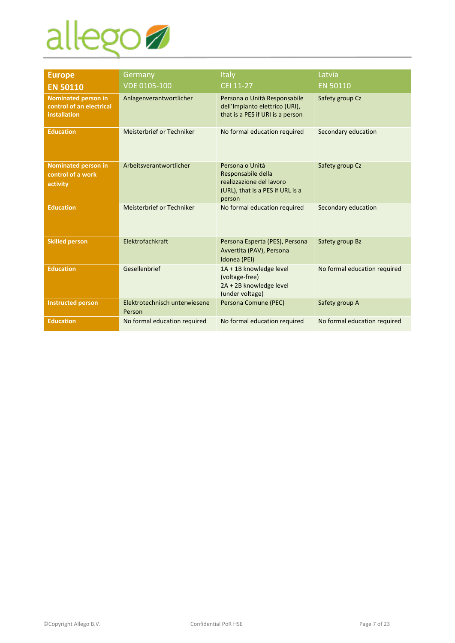

| <b>Europe</b>                                                                 | Germany                                 | Italy                                                                                                           | Latvia                       |
|-------------------------------------------------------------------------------|-----------------------------------------|-----------------------------------------------------------------------------------------------------------------|------------------------------|
| <b>EN 50110</b>                                                               | <b>VDE 0105-100</b>                     | CEI 11-27                                                                                                       | <b>EN 50110</b>              |
| <b>Nominated person in</b><br>control of an electrical<br><b>installation</b> | Anlagenverantwortlicher                 | Persona o Unità Responsabile<br>dell'Impianto elettrico (URI),<br>that is a PES if URI is a person              | Safety group Cz              |
| <b>Education</b>                                                              | Meisterbrief or Techniker               | No formal education required                                                                                    | Secondary education          |
| <b>Nominated person in</b><br>control of a work<br>activity                   | Arbeitsverantwortlicher                 | Persona o Unità<br>Responsabile della<br>realizzazione del lavoro<br>(URL), that is a PES if URL is a<br>person | Safety group Cz              |
| <b>Education</b>                                                              | Meisterbrief or Techniker               | No formal education required                                                                                    | Secondary education          |
| <b>Skilled person</b>                                                         | Elektrofachkraft                        | Persona Esperta (PES), Persona<br>Avvertita (PAV), Persona<br>Idonea (PEI)                                      | Safety group Bz              |
| <b>Education</b>                                                              | Gesellenbrief                           | 1A + 1B knowledge level<br>(voltage-free)<br>2A + 2B knowledge level<br>(under voltage)                         | No formal education required |
| <b>Instructed person</b>                                                      | Elektrotechnisch unterwiesene<br>Person | Persona Comune (PEC)                                                                                            | Safety group A               |
| <b>Education</b>                                                              | No formal education required            | No formal education required                                                                                    | No formal education required |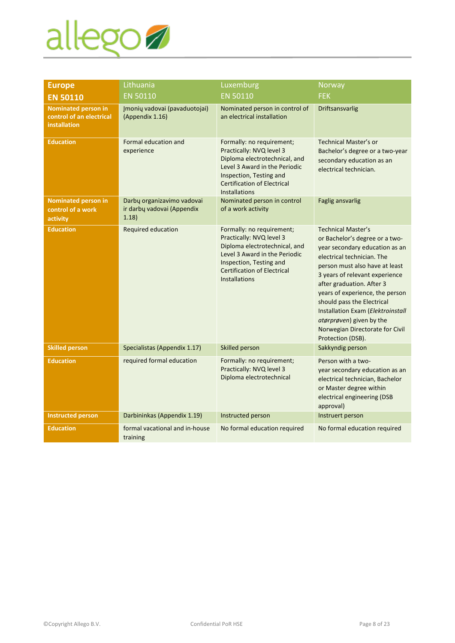

| <b>Europe</b>                                                                 | Lithuania                                                         | Luxemburg                                                                                                                                                                                                        | Norway                                                                                                                                                                                                                                                                                                                                                                                                                 |
|-------------------------------------------------------------------------------|-------------------------------------------------------------------|------------------------------------------------------------------------------------------------------------------------------------------------------------------------------------------------------------------|------------------------------------------------------------------------------------------------------------------------------------------------------------------------------------------------------------------------------------------------------------------------------------------------------------------------------------------------------------------------------------------------------------------------|
| <b>EN 50110</b>                                                               | <b>EN 50110</b>                                                   | <b>EN 50110</b>                                                                                                                                                                                                  | <b>FEK</b>                                                                                                                                                                                                                                                                                                                                                                                                             |
| <b>Nominated person in</b><br>control of an electrical<br><b>installation</b> | Įmonių vadovai (pavaduotojai)<br>(Appendix 1.16)                  | Nominated person in control of<br>an electrical installation                                                                                                                                                     | Driftsansvarlig                                                                                                                                                                                                                                                                                                                                                                                                        |
| <b>Education</b>                                                              | Formal education and<br>experience                                | Formally: no requirement;<br>Practically: NVQ level 3<br>Diploma electrotechnical, and<br>Level 3 Award in the Periodic<br>Inspection, Testing and<br><b>Certification of Electrical</b><br><b>Installations</b> | <b>Technical Master's or</b><br>Bachelor's degree or a two-year<br>secondary education as an<br>electrical technician.                                                                                                                                                                                                                                                                                                 |
| <b>Nominated person in</b><br>control of a work<br>activity                   | Darbų organizavimo vadovai<br>ir darbų vadovai (Appendix<br>1.18) | Nominated person in control<br>of a work activity                                                                                                                                                                | <b>Faglig ansvarlig</b>                                                                                                                                                                                                                                                                                                                                                                                                |
| <b>Education</b>                                                              | Required education                                                | Formally: no requirement;<br>Practically: NVQ level 3<br>Diploma electrotechnical, and<br>Level 3 Award in the Periodic<br>Inspection, Testing and<br><b>Certification of Electrical</b><br><b>Installations</b> | <b>Technical Master's</b><br>or Bachelor's degree or a two-<br>year secondary education as an<br>electrical technician. The<br>person must also have at least<br>3 years of relevant experience<br>after graduation. After 3<br>years of experience, the person<br>should pass the Electrical<br>Installation Exam (Elektroinstall<br>atørprøven) given by the<br>Norwegian Directorate for Civil<br>Protection (DSB). |
| <b>Skilled person</b>                                                         | Specialistas (Appendix 1.17)                                      | Skilled person                                                                                                                                                                                                   | Sakkyndig person                                                                                                                                                                                                                                                                                                                                                                                                       |
| <b>Education</b>                                                              | required formal education                                         | Formally: no requirement;<br>Practically: NVQ level 3<br>Diploma electrotechnical                                                                                                                                | Person with a two-<br>year secondary education as an<br>electrical technician, Bachelor<br>or Master degree within<br>electrical engineering (DSB<br>approval)                                                                                                                                                                                                                                                         |
| <b>Instructed person</b>                                                      | Darbininkas (Appendix 1.19)                                       | Instructed person                                                                                                                                                                                                | Instruert person                                                                                                                                                                                                                                                                                                                                                                                                       |
| <b>Education</b>                                                              | formal vacational and in-house<br>training                        | No formal education required                                                                                                                                                                                     | No formal education required                                                                                                                                                                                                                                                                                                                                                                                           |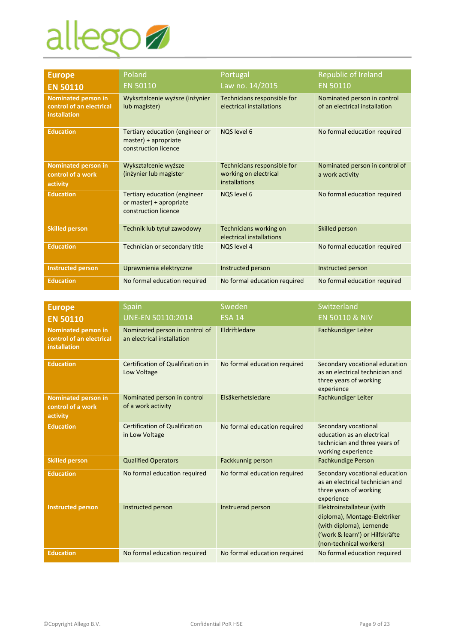

| <b>Europe</b>                                                          | Poland                                                                                 | Portugal                                                              | Republic of Ireland                                          |
|------------------------------------------------------------------------|----------------------------------------------------------------------------------------|-----------------------------------------------------------------------|--------------------------------------------------------------|
| <b>EN 50110</b>                                                        | <b>EN 50110</b>                                                                        | Law no. 14/2015                                                       | <b>EN 50110</b>                                              |
| <b>Nominated person in</b><br>control of an electrical<br>installation | Wykształcenie wyższe (inżynier<br>lub magister)                                        | Technicians responsible for<br>electrical installations               | Nominated person in control<br>of an electrical installation |
| <b>Education</b>                                                       | Tertiary education (engineer or<br>master) + apropriate<br>construction licence        | NOS level 6                                                           | No formal education required                                 |
| <b>Nominated person in</b><br>control of a work<br>activity            | Wykształcenie wyższe<br>(inżynier lub magister                                         | Technicians responsible for<br>working on electrical<br>installations | Nominated person in control of<br>a work activity            |
| <b>Education</b>                                                       | <b>Tertiary education (engineer</b><br>or master) + apropriate<br>construction licence | NOS level 6                                                           | No formal education required                                 |
| <b>Skilled person</b>                                                  | Technik lub tytuł zawodowy                                                             | Technicians working on<br>electrical installations                    | Skilled person                                               |
| <b>Education</b>                                                       | Technician or secondary title                                                          | <b>NOS level 4</b>                                                    | No formal education required                                 |
| <b>Instructed person</b>                                               | Uprawnienia elektryczne                                                                | Instructed person                                                     | Instructed person                                            |
| <b>Education</b>                                                       | No formal education required                                                           | No formal education required                                          | No formal education required                                 |

| <b>Europe</b>                                                                 | Spain                                                        | Sweden                       | Switzerland                                                                                                                                         |
|-------------------------------------------------------------------------------|--------------------------------------------------------------|------------------------------|-----------------------------------------------------------------------------------------------------------------------------------------------------|
| <b>EN 50110</b>                                                               | UNE-EN 50110:2014                                            | <b>ESA 14</b>                | <b>EN 50110 &amp; NIV</b>                                                                                                                           |
| <b>Nominated person in</b><br>control of an electrical<br><b>installation</b> | Nominated person in control of<br>an electrical installation | Eldriftledare                | Fachkundiger Leiter                                                                                                                                 |
| <b>Education</b>                                                              | Certification of Qualification in<br>Low Voltage             | No formal education required | Secondary vocational education<br>as an electrical technician and<br>three years of working<br>experience                                           |
| <b>Nominated person in</b><br>control of a work<br>activity                   | Nominated person in control<br>of a work activity            | Elsäkerhetsledare            | Fachkundiger Leiter                                                                                                                                 |
| <b>Education</b>                                                              | <b>Certification of Qualification</b><br>in Low Voltage      | No formal education required | Secondary vocational<br>education as an electrical<br>technician and three years of<br>working experience                                           |
| <b>Skilled person</b>                                                         | <b>Qualified Operators</b>                                   | Fackkunnig person            | <b>Fachkundige Person</b>                                                                                                                           |
| <b>Education</b>                                                              | No formal education required                                 | No formal education required | Secondary vocational education<br>as an electrical technician and<br>three years of working<br>experience                                           |
| <b>Instructed person</b>                                                      | Instructed person                                            | Instruerad person            | Elektroinstallateur (with<br>diploma), Montage-Elektriker<br>(with diploma), Lernende<br>('work & learn') or Hilfskräfte<br>(non-technical workers) |
| <b>Education</b>                                                              | No formal education required                                 | No formal education required | No formal education required                                                                                                                        |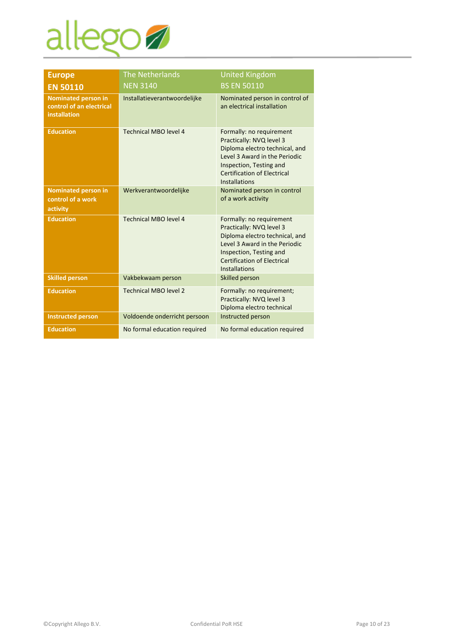# allego

| <b>Europe</b>                                                          | <b>The Netherlands</b>       | <b>United Kingdom</b>                                                                                                                                                                                            |
|------------------------------------------------------------------------|------------------------------|------------------------------------------------------------------------------------------------------------------------------------------------------------------------------------------------------------------|
| <b>EN 50110</b>                                                        | <b>NEN 3140</b>              | <b>BS EN 50110</b>                                                                                                                                                                                               |
| <b>Nominated person in</b><br>control of an electrical<br>installation | Installatieverantwoordelijke | Nominated person in control of<br>an electrical installation                                                                                                                                                     |
| <b>Education</b>                                                       | Technical MBO level 4        | Formally: no requirement<br>Practically: NVQ level 3<br>Diploma electro technical, and<br>Level 3 Award in the Periodic<br>Inspection, Testing and<br><b>Certification of Electrical</b><br><b>Installations</b> |
| <b>Nominated person in</b><br>control of a work<br>activity            | Werkverantwoordelijke        | Nominated person in control<br>of a work activity                                                                                                                                                                |
| <b>Education</b>                                                       | Technical MBO level 4        | Formally: no requirement<br>Practically: NVQ level 3<br>Diploma electro technical, and<br>Level 3 Award in the Periodic<br>Inspection, Testing and<br><b>Certification of Electrical</b><br><b>Installations</b> |
| <b>Skilled person</b>                                                  | Vakbekwaam person            | Skilled person                                                                                                                                                                                                   |
| <b>Education</b>                                                       | <b>Technical MBO level 2</b> | Formally: no requirement;<br>Practically: NVQ level 3<br>Diploma electro technical                                                                                                                               |
| <b>Instructed person</b>                                               | Voldoende onderricht persoon | Instructed person                                                                                                                                                                                                |
| <b>Education</b>                                                       | No formal education required | No formal education required                                                                                                                                                                                     |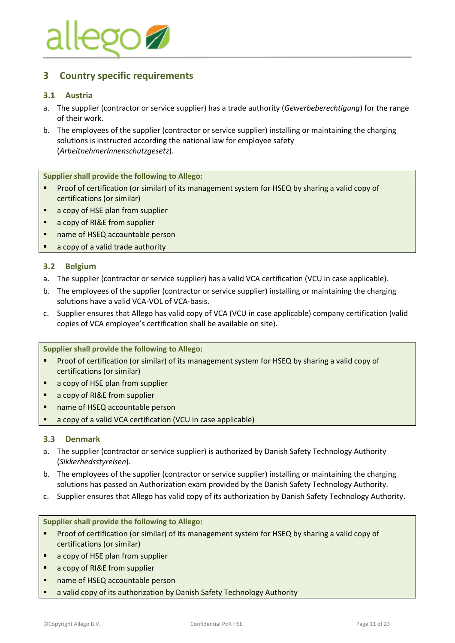

# <span id="page-10-0"></span>**3 Country specific requirements**

#### <span id="page-10-1"></span>**3.1 Austria**

- a. The supplier (contractor or service supplier) has a trade authority (*Gewerbeberechtigung*) for the range of their work.
- b. The employees of the supplier (contractor or service supplier) installing or maintaining the charging solutions is instructed according the national law for employee safety (*ArbeitnehmerInnenschutzgesetz*).

**Supplier shall provide the following to Allego:**

- Proof of certification (or similar) of its management system for HSEQ by sharing a valid copy of certifications (or similar)
- a copy of HSE plan from supplier
- a copy of RI&E from supplier
- name of HSEQ accountable person
- a copy of a valid trade authority

#### <span id="page-10-2"></span>**3.2 Belgium**

- a. The supplier (contractor or service supplier) has a valid VCA certification (VCU in case applicable).
- b. The employees of the supplier (contractor or service supplier) installing or maintaining the charging solutions have a valid VCA-VOL of VCA-basis.
- c. Supplier ensures that Allego has valid copy of VCA (VCU in case applicable) company certification (valid copies of VCA employee's certification shall be available on site).

**Supplier shall provide the following to Allego:**

- Proof of certification (or similar) of its management system for HSEQ by sharing a valid copy of certifications (or similar)
- a copy of HSE plan from supplier
- a copy of RI&E from supplier
- name of HSEQ accountable person
- a copy of a valid VCA certification (VCU in case applicable)

#### <span id="page-10-3"></span>**3.3 Denmark**

- a. The supplier (contractor or service supplier) is authorized by Danish Safety Technology Authority (*Sikkerhedsstyrelsen*).
- b. The employees of the supplier (contractor or service supplier) installing or maintaining the charging solutions has passed an Authorization exam provided by the Danish Safety Technology Authority.
- c. Supplier ensures that Allego has valid copy of its authorization by Danish Safety Technology Authority.

- Proof of certification (or similar) of its management system for HSEQ by sharing a valid copy of certifications (or similar)
- a copy of HSE plan from supplier
- a copy of RI&E from supplier
- name of HSEQ accountable person
- a valid copy of its authorization by Danish Safety Technology Authority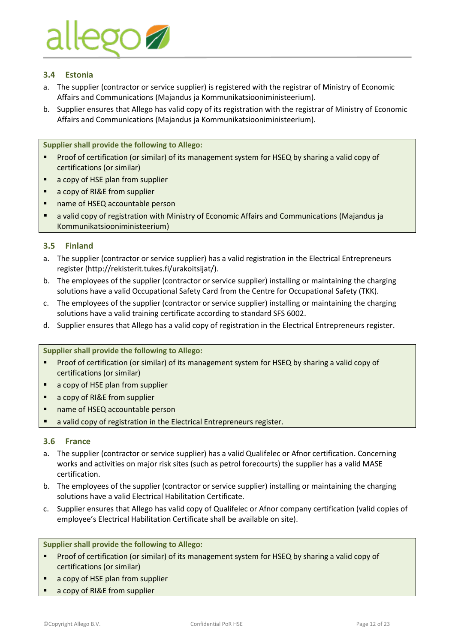

#### <span id="page-11-0"></span>**3.4 Estonia**

- a. The supplier (contractor or service supplier) is registered with the registrar of Ministry of Economic Affairs and Communications (Majandus ja Kommunikatsiooniministeerium).
- b. Supplier ensures that Allego has valid copy of its registration with the registrar of Ministry of Economic Affairs and Communications (Majandus ja Kommunikatsiooniministeerium).

**Supplier shall provide the following to Allego:**

- Proof of certification (or similar) of its management system for HSEQ by sharing a valid copy of certifications (or similar)
- a copy of HSE plan from supplier
- a copy of RI&E from supplier
- name of HSEQ accountable person
- a valid copy of registration with Ministry of Economic Affairs and Communications (Majandus ja Kommunikatsiooniministeerium)

#### <span id="page-11-1"></span>**3.5 Finland**

- a. The supplier (contractor or service supplier) has a valid registration in the Electrical Entrepreneurs register [\(http://rekisterit.tukes.fi/urakoitsijat/\)](http://rekisterit.tukes.fi/urakoitsijat/).
- b. The employees of the supplier (contractor or service supplier) installing or maintaining the charging solutions have a valid Occupational Safety Card from the Centre for Occupational Safety (TKK).
- c. The employees of the supplier (contractor or service supplier) installing or maintaining the charging solutions have a valid training certificate according to standard SFS 6002.
- d. Supplier ensures that Allego has a valid copy of registration in the Electrical Entrepreneurs register.

**Supplier shall provide the following to Allego:**

- Proof of certification (or similar) of its management system for HSEQ by sharing a valid copy of certifications (or similar)
- a copy of HSE plan from supplier
- a copy of RI&E from supplier
- name of HSEQ accountable person
- a valid copy of registration in the Electrical Entrepreneurs register.

#### <span id="page-11-2"></span>**3.6 France**

- a. The supplier (contractor or service supplier) has a valid Qualifelec or Afnor certification. Concerning works and activities on major risk sites (such as petrol forecourts) the supplier has a valid MASE certification.
- b. The employees of the supplier (contractor or service supplier) installing or maintaining the charging solutions have a valid Electrical Habilitation Certificate.
- c. Supplier ensures that Allego has valid copy of Qualifelec or Afnor company certification (valid copies of employee's Electrical Habilitation Certificate shall be available on site).

- **Proof of certification (or similar) of its management system for HSEQ by sharing a valid copy of** certifications (or similar)
- a copy of HSE plan from supplier
- a copy of RI&E from supplier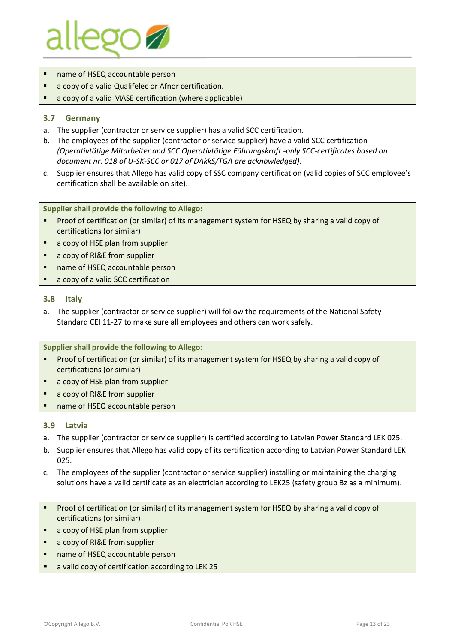

- name of HSEQ accountable person
- a copy of a valid Qualifelec or Afnor certification.
- a copy of a valid MASE certification (where applicable)

#### <span id="page-12-0"></span>**3.7 Germany**

- a. The supplier (contractor or service supplier) has a valid SCC certification.
- b. The employees of the supplier (contractor or service supplier) have a valid SCC certification *(Operativtätige Mitarbeiter and SCC Operativtätige Führungskraft -only SCC-certificates based on document nr. 018 of U-SK-SCC or 017 of DAkkS/TGA are acknowledged).*
- c. Supplier ensures that Allego has valid copy of SSC company certification (valid copies of SCC employee's certification shall be available on site).

#### **Supplier shall provide the following to Allego:**

- Proof of certification (or similar) of its management system for HSEQ by sharing a valid copy of certifications (or similar)
- a copy of HSE plan from supplier
- a copy of RI&E from supplier
- name of HSEQ accountable person
- a copy of a valid SCC certification

#### <span id="page-12-1"></span>**3.8 Italy**

a. The supplier (contractor or service supplier) will follow the requirements of the National Safety Standard CEI 11-27 to make sure all employees and others can work safely.

**Supplier shall provide the following to Allego:**

- **•** Proof of certification (or similar) of its management system for HSEQ by sharing a valid copy of certifications (or similar)
- a copy of HSE plan from supplier
- a copy of RI&E from supplier
- name of HSEQ accountable person

#### <span id="page-12-2"></span>**3.9 Latvia**

- a. The supplier (contractor or service supplier) is certified according to Latvian Power Standard LEK 025.
- b. Supplier ensures that Allego has valid copy of its certification according to Latvian Power Standard LEK 025.
- c. The employees of the supplier (contractor or service supplier) installing or maintaining the charging solutions have a valid certificate as an electrician according to LEK25 (safety group Bz as a minimum).
- Proof of certification (or similar) of its management system for HSEQ by sharing a valid copy of certifications (or similar)
- a copy of HSE plan from supplier
- a copy of RI&E from supplier
- name of HSEQ accountable person
- a valid copy of certification according to LEK 25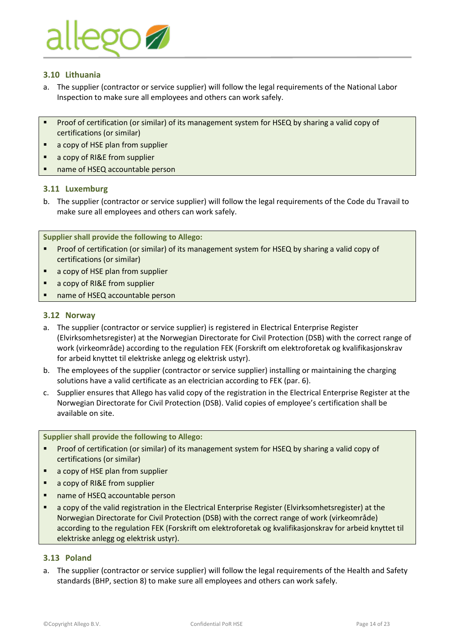

#### <span id="page-13-0"></span>**3.10 Lithuania**

- a. The supplier (contractor or service supplier) will follow the legal requirements of the National Labor Inspection to make sure all employees and others can work safely.
- Proof of certification (or similar) of its management system for HSEQ by sharing a valid copy of certifications (or similar)
- a copy of HSE plan from supplier
- a copy of RI&E from supplier
- name of HSEQ accountable person

#### <span id="page-13-1"></span>**3.11 Luxemburg**

b. The supplier (contractor or service supplier) will follow the legal requirements of the Code du Travail to make sure all employees and others can work safely.

#### **Supplier shall provide the following to Allego:**

- Proof of certification (or similar) of its management system for HSEQ by sharing a valid copy of certifications (or similar)
- a copy of HSE plan from supplier
- a copy of RI&E from supplier
- name of HSEQ accountable person

#### <span id="page-13-2"></span>**3.12 Norway**

- a. The supplier (contractor or service supplier) is registered in Electrical Enterprise Register (Elvirksomhetsregister) at the Norwegian Directorate for Civil Protection (DSB) with the correct range of work (virkeområde) according to the regulation FEK (Forskrift om elektroforetak og kvalifikasjonskrav for arbeid knyttet til elektriske anlegg og elektrisk ustyr).
- b. The employees of the supplier (contractor or service supplier) installing or maintaining the charging solutions have a valid certificate as an electrician according to FEK (par. 6).
- c. Supplier ensures that Allego has valid copy of the registration in the Electrical Enterprise Register at the Norwegian Directorate for Civil Protection (DSB). Valid copies of employee's certification shall be available on site.

**Supplier shall provide the following to Allego:**

- **Proof of certification (or similar) of its management system for HSEQ by sharing a valid copy of** certifications (or similar)
- a copy of HSE plan from supplier
- a copy of RI&E from supplier
- name of HSEQ accountable person
- a copy of the valid registration in the Electrical Enterprise Register (Elvirksomhetsregister) at the Norwegian Directorate for Civil Protection (DSB) with the correct range of work (virkeområde) according to the regulation FEK (Forskrift om elektroforetak og kvalifikasjonskrav for arbeid knyttet til elektriske anlegg og elektrisk ustyr).

#### <span id="page-13-3"></span>**3.13 Poland**

a. The supplier (contractor or service supplier) will follow the legal requirements of the Health and Safety standards (BHP, section 8) to make sure all employees and others can work safely.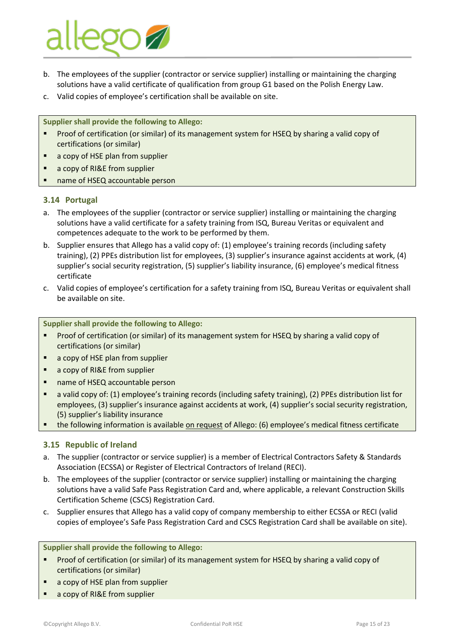# **POZ**

- b. The employees of the supplier (contractor or service supplier) installing or maintaining the charging solutions have a valid certificate of qualification from group G1 based on the Polish Energy Law.
- c. Valid copies of employee's certification shall be available on site.

**Supplier shall provide the following to Allego:**

- Proof of certification (or similar) of its management system for HSEQ by sharing a valid copy of certifications (or similar)
- a copy of HSE plan from supplier
- a copy of RI&E from supplier
- name of HSEQ accountable person

#### <span id="page-14-0"></span>**3.14 Portugal**

- a. The employees of the supplier (contractor or service supplier) installing or maintaining the charging solutions have a valid certificate for a safety training from ISQ, Bureau Veritas or equivalent and competences adequate to the work to be performed by them.
- b. Supplier ensures that Allego has a valid copy of: (1) employee's training records (including safety training), (2) PPEs distribution list for employees, (3) supplier's insurance against accidents at work, (4) supplier's social security registration, (5) supplier's liability insurance, (6) employee's medical fitness certificate
- c. Valid copies of employee's certification for a safety training from ISQ, Bureau Veritas or equivalent shall be available on site.

**Supplier shall provide the following to Allego:**

- Proof of certification (or similar) of its management system for HSEQ by sharing a valid copy of certifications (or similar)
- a copy of HSE plan from supplier
- a copy of RI&E from supplier
- name of HSEQ accountable person
- a valid copy of: (1) employee's training records (including safety training), (2) PPEs distribution list for employees, (3) supplier's insurance against accidents at work, (4) supplier's social security registration, (5) supplier's liability insurance
- the following information is available on request of Allego: (6) employee's medical fitness certificate

#### <span id="page-14-1"></span>**3.15 Republic of Ireland**

- a. The supplier (contractor or service supplier) is a member of Electrical Contractors Safety & Standards Association (ECSSA) or Register of Electrical Contractors of Ireland (RECI).
- b. The employees of the supplier (contractor or service supplier) installing or maintaining the charging solutions have a valid Safe Pass Registration Card and, where applicable, a relevant Construction Skills Certification Scheme (CSCS) Registration Card.
- c. Supplier ensures that Allego has a valid copy of company membership to either ECSSA or RECI (valid copies of employee's Safe Pass Registration Card and CSCS Registration Card shall be available on site).

- Proof of certification (or similar) of its management system for HSEQ by sharing a valid copy of certifications (or similar)
- a copy of HSE plan from supplier
- a copy of RI&E from supplier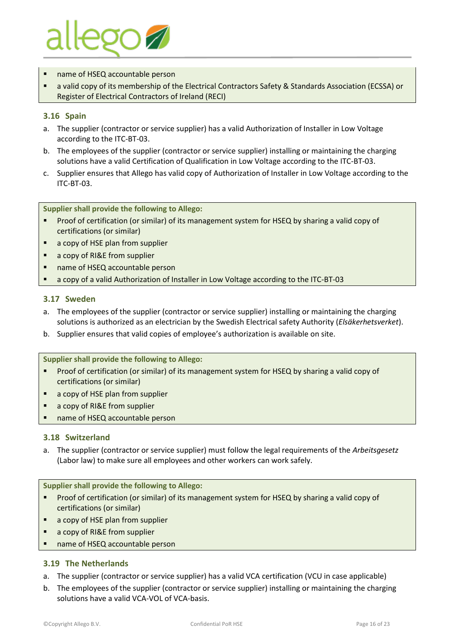

- name of HSEQ accountable person
- a valid copy of its membership of the Electrical Contractors Safety & Standards Association (ECSSA) or Register of Electrical Contractors of Ireland (RECI)

#### <span id="page-15-0"></span>**3.16 Spain**

- a. The supplier (contractor or service supplier) has a valid Authorization of Installer in Low Voltage according to the ITC-BT-03.
- b. The employees of the supplier (contractor or service supplier) installing or maintaining the charging solutions have a valid Certification of Qualification in Low Voltage according to the ITC-BT-03.
- c. Supplier ensures that Allego has valid copy of Authorization of Installer in Low Voltage according to the ITC-BT-03.

#### **Supplier shall provide the following to Allego:**

- Proof of certification (or similar) of its management system for HSEQ by sharing a valid copy of certifications (or similar)
- a copy of HSE plan from supplier
- a copy of RI&E from supplier
- name of HSEQ accountable person
- a copy of a valid Authorization of Installer in Low Voltage according to the ITC-BT-03

#### <span id="page-15-1"></span>**3.17 Sweden**

- a. The employees of the supplier (contractor or service supplier) installing or maintaining the charging solutions is authorized as an electrician by the Swedish Electrical safety Authority (*Elsäkerhetsverket*).
- b. Supplier ensures that valid copies of employee's authorization is available on site.

#### **Supplier shall provide the following to Allego:**

- Proof of certification (or similar) of its management system for HSEQ by sharing a valid copy of certifications (or similar)
- a copy of HSE plan from supplier
- a copy of RI&E from supplier
- name of HSEQ accountable person

#### <span id="page-15-2"></span>**3.18 Switzerland**

a. The supplier (contractor or service supplier) must follow the legal requirements of the *Arbeitsgesetz* (Labor law) to make sure all employees and other workers can work safely.

**Supplier shall provide the following to Allego:**

- Proof of certification (or similar) of its management system for HSEQ by sharing a valid copy of certifications (or similar)
- a copy of HSE plan from supplier
- a copy of RI&E from supplier
- name of HSEQ accountable person

#### <span id="page-15-3"></span>**3.19 The Netherlands**

- a. The supplier (contractor or service supplier) has a valid VCA certification (VCU in case applicable)
- b. The employees of the supplier (contractor or service supplier) installing or maintaining the charging solutions have a valid VCA-VOL of VCA-basis.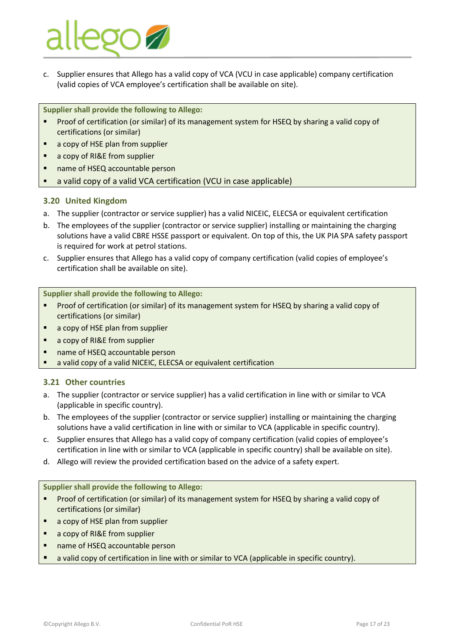

c. Supplier ensures that Allego has a valid copy of VCA (VCU in case applicable) company certification (valid copies of VCA employee's certification shall be available on site).

**Supplier shall provide the following to Allego:**

- **•** Proof of certification (or similar) of its management system for HSEQ by sharing a valid copy of certifications (or similar)
- a copy of HSE plan from supplier
- a copy of RI&E from supplier
- name of HSEQ accountable person
- a valid copy of a valid VCA certification (VCU in case applicable)

#### <span id="page-16-0"></span>**3.20 United Kingdom**

- a. The supplier (contractor or service supplier) has a valid NICEIC, ELECSA or equivalent certification
- b. The employees of the supplier (contractor or service supplier) installing or maintaining the charging solutions have a valid CBRE HSSE passport or equivalent. On top of this, the UK PIA SPA safety passport is required for work at petrol stations.
- c. Supplier ensures that Allego has a valid copy of company certification (valid copies of employee's certification shall be available on site).

**Supplier shall provide the following to Allego:**

- Proof of certification (or similar) of its management system for HSEQ by sharing a valid copy of certifications (or similar)
- a copy of HSE plan from supplier
- a copy of RI&E from supplier
- name of HSEQ accountable person
- a valid copy of a valid NICEIC, ELECSA or equivalent certification

#### <span id="page-16-1"></span>**3.21 Other countries**

- a. The supplier (contractor or service supplier) has a valid certification in line with or similar to VCA (applicable in specific country).
- b. The employees of the supplier (contractor or service supplier) installing or maintaining the charging solutions have a valid certification in line with or similar to VCA (applicable in specific country).
- c. Supplier ensures that Allego has a valid copy of company certification (valid copies of employee's certification in line with or similar to VCA (applicable in specific country) shall be available on site).
- d. Allego will review the provided certification based on the advice of a safety expert.

- Proof of certification (or similar) of its management system for HSEQ by sharing a valid copy of certifications (or similar)
- a copy of HSE plan from supplier
- a copy of RI&E from supplier
- name of HSEQ accountable person
- a valid copy of certification in line with or similar to VCA (applicable in specific country).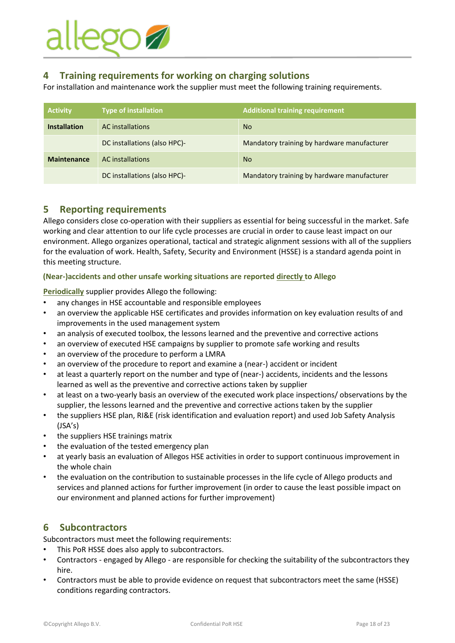# ego **1**

# <span id="page-17-0"></span>**4 Training requirements for working on charging solutions**

For installation and maintenance work the supplier must meet the following training requirements.

| <b>Activity</b>     | <b>Type of installation</b>  | <b>Additional training requirement</b>      |
|---------------------|------------------------------|---------------------------------------------|
| <b>Installation</b> | <b>AC</b> installations      | <b>No</b>                                   |
|                     | DC installations (also HPC)- | Mandatory training by hardware manufacturer |
| <b>Maintenance</b>  | <b>AC</b> installations      | <b>No</b>                                   |
|                     | DC installations (also HPC)- | Mandatory training by hardware manufacturer |

# <span id="page-17-1"></span>**5 Reporting requirements**

Allego considers close co-operation with their suppliers as essential for being successful in the market. Safe working and clear attention to our life cycle processes are crucial in order to cause least impact on our environment. Allego organizes operational, tactical and strategic alignment sessions with all of the suppliers for the evaluation of work. Health, Safety, Security and Environment (HSSE) is a standard agenda point in this meeting structure.

#### **(Near-)accidents and other unsafe working situations are reported directly to Allego**

**Periodically** supplier provides Allego the following:

- any changes in HSE accountable and responsible employees
- an overview the applicable HSE certificates and provides information on key evaluation results of and improvements in the used management system
- an analysis of executed toolbox, the lessons learned and the preventive and corrective actions
- an overview of executed HSE campaigns by supplier to promote safe working and results
- an overview of the procedure to perform a LMRA
- an overview of the procedure to report and examine a (near-) accident or incident
- at least a quarterly report on the number and type of (near-) accidents, incidents and the lessons learned as well as the preventive and corrective actions taken by supplier
- at least on a two-yearly basis an overview of the executed work place inspections/ observations by the supplier, the lessons learned and the preventive and corrective actions taken by the supplier
- the suppliers HSE plan, RI&E (risk identification and evaluation report) and used Job Safety Analysis (JSA's)
- the suppliers HSE trainings matrix
- the evaluation of the tested emergency plan
- at yearly basis an evaluation of Allegos HSE activities in order to support continuous improvement in the whole chain
- the evaluation on the contribution to sustainable processes in the life cycle of Allego products and services and planned actions for further improvement (in order to cause the least possible impact on our environment and planned actions for further improvement)

# <span id="page-17-2"></span>**6 Subcontractors**

Subcontractors must meet the following requirements:

- This PoR HSSE does also apply to subcontractors.
- Contractors engaged by Allego are responsible for checking the suitability of the subcontractors they hire.
- Contractors must be able to provide evidence on request that subcontractors meet the same (HSSE) conditions regarding contractors.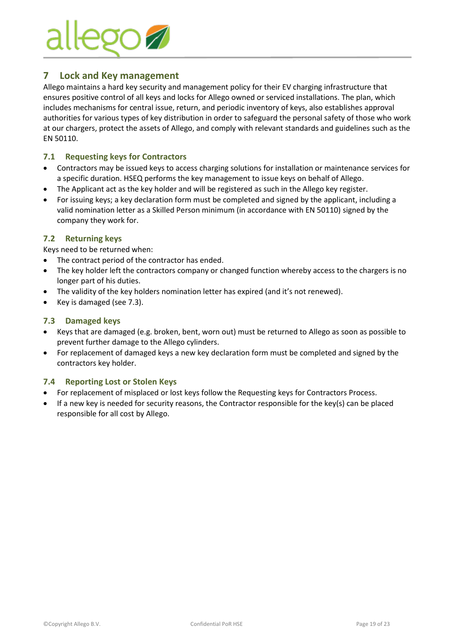

# <span id="page-18-0"></span>**7 Lock and Key management**

Allego maintains a hard key security and management policy for their EV charging infrastructure that ensures positive control of all keys and locks for Allego owned or serviced installations. The plan, which includes mechanisms for central issue, return, and periodic inventory of keys, also establishes approval authorities for various types of key distribution in order to safeguard the personal safety of those who work at our chargers, protect the assets of Allego, and comply with relevant standards and guidelines such as the EN 50110.

#### <span id="page-18-1"></span>**7.1 Requesting keys for Contractors**

- Contractors may be issued keys to access charging solutions for installation or maintenance services for a specific duration. HSEQ performs the key management to issue keys on behalf of Allego.
- The Applicant act as the key holder and will be registered as such in the Allego key register.
- For issuing keys; a key declaration form must be completed and signed by the applicant, including a valid nomination letter as a Skilled Person minimum (in accordance with EN 50110) signed by the company they work for.

#### <span id="page-18-2"></span>**7.2 Returning keys**

Keys need to be returned when:

- The contract period of the contractor has ended.
- The key holder left the contractors company or changed function whereby access to the chargers is no longer part of his duties.
- The validity of the key holders nomination letter has expired (and it's not renewed).
- Key is damaged (see 7.3).

#### <span id="page-18-3"></span>**7.3 Damaged keys**

- Keys that are damaged (e.g. broken, bent, worn out) must be returned to Allego as soon as possible to prevent further damage to the Allego cylinders.
- For replacement of damaged keys a new key declaration form must be completed and signed by the contractors key holder.

#### <span id="page-18-4"></span>**7.4 Reporting Lost or Stolen Keys**

- For replacement of misplaced or lost keys follow the Requesting keys for Contractors Process.
- If a new key is needed for security reasons, the Contractor responsible for the key(s) can be placed responsible for all cost by Allego.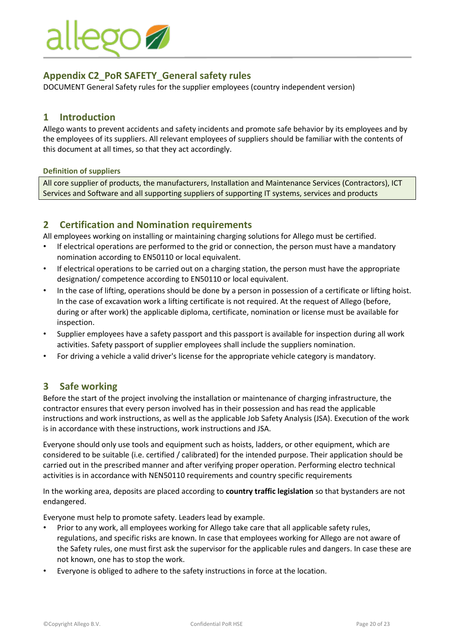

# <span id="page-19-0"></span>**Appendix C2\_PoR SAFETY\_General safety rules**

<span id="page-19-1"></span>DOCUMENT General Safety rules for the supplier employees (country independent version)

### **1 Introduction**

Allego wants to prevent accidents and safety incidents and promote safe behavior by its employees and by the employees of its suppliers. All relevant employees of suppliers should be familiar with the contents of this document at all times, so that they act accordingly.

#### **Definition of suppliers**

All core supplier of products, the manufacturers, Installation and Maintenance Services (Contractors), ICT Services and Software and all supporting suppliers of supporting IT systems, services and products

# <span id="page-19-2"></span>**2 Certification and Nomination requirements**

All employees working on installing or maintaining charging solutions for Allego must be certified.

- If electrical operations are performed to the grid or connection, the person must have a mandatory nomination according to EN50110 or local equivalent.
- If electrical operations to be carried out on a charging station, the person must have the appropriate designation/ competence according to EN50110 or local equivalent.
- In the case of lifting, operations should be done by a person in possession of a certificate or lifting hoist. In the case of excavation work a lifting certificate is not required. At the request of Allego (before, during or after work) the applicable diploma, certificate, nomination or license must be available for inspection.
- Supplier employees have a safety passport and this passport is available for inspection during all work activities. Safety passport of supplier employees shall include the suppliers nomination.
- <span id="page-19-3"></span>• For driving a vehicle a valid driver's license for the appropriate vehicle category is mandatory.

### **3 Safe working**

Before the start of the project involving the installation or maintenance of charging infrastructure, the contractor ensures that every person involved has in their possession and has read the applicable instructions and work instructions, as well as the applicable Job Safety Analysis (JSA). Execution of the work is in accordance with these instructions, work instructions and JSA.

Everyone should only use tools and equipment such as hoists, ladders, or other equipment, which are considered to be suitable (i.e. certified / calibrated) for the intended purpose. Their application should be carried out in the prescribed manner and after verifying proper operation. Performing electro technical activities is in accordance with NEN50110 requirements and country specific requirements

In the working area, deposits are placed according to **country traffic legislation** so that bystanders are not endangered.

Everyone must help to promote safety. Leaders lead by example.

- Prior to any work, all employees working for Allego take care that all applicable safety rules, regulations, and specific risks are known. In case that employees working for Allego are not aware of the Safety rules, one must first ask the supervisor for the applicable rules and dangers. In case these are not known, one has to stop the work.
- Everyone is obliged to adhere to the safety instructions in force at the location.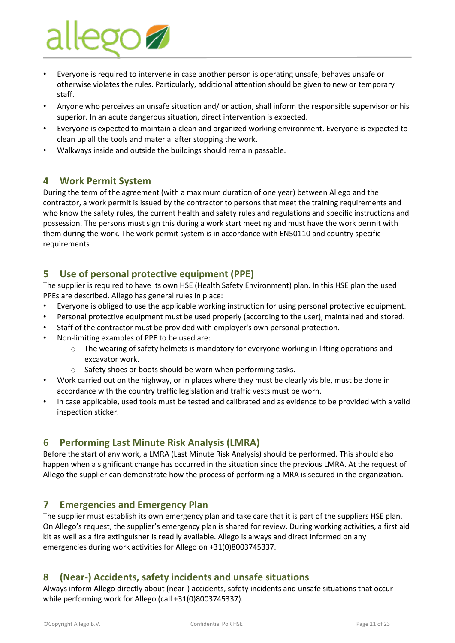

- Everyone is required to intervene in case another person is operating unsafe, behaves unsafe or otherwise violates the rules. Particularly, additional attention should be given to new or temporary staff.
- Anyone who perceives an unsafe situation and/ or action, shall inform the responsible supervisor or his superior. In an acute dangerous situation, direct intervention is expected.
- Everyone is expected to maintain a clean and organized working environment. Everyone is expected to clean up all the tools and material after stopping the work.
- <span id="page-20-0"></span>• Walkways inside and outside the buildings should remain passable.

# **4 Work Permit System**

During the term of the agreement (with a maximum duration of one year) between Allego and the contractor, a work permit is issued by the contractor to persons that meet the training requirements and who know the safety rules, the current health and safety rules and regulations and specific instructions and possession. The persons must sign this during a work start meeting and must have the work permit with them during the work. The work permit system is in accordance with EN50110 and country specific requirements

# <span id="page-20-1"></span>**5 Use of personal protective equipment (PPE)**

The supplier is required to have its own HSE (Health Safety Environment) plan. In this HSE plan the used PPEs are described. Allego has general rules in place:

- Everyone is obliged to use the applicable working instruction for using personal protective equipment.
- Personal protective equipment must be used properly (according to the user), maintained and stored.
- Staff of the contractor must be provided with employer's own personal protection.
- Non-limiting examples of PPE to be used are:
	- $\circ$  The wearing of safety helmets is mandatory for everyone working in lifting operations and excavator work.
	- o Safety shoes or boots should be worn when performing tasks.
- Work carried out on the highway, or in places where they must be clearly visible, must be done in accordance with the country traffic legislation and traffic vests must be worn.
- In case applicable, used tools must be tested and calibrated and as evidence to be provided with a valid inspection sticker.

# <span id="page-20-2"></span>**6 Performing Last Minute Risk Analysis (LMRA)**

Before the start of any work, a LMRA (Last Minute Risk Analysis) should be performed. This should also happen when a significant change has occurred in the situation since the previous LMRA. At the request of Allego the supplier can demonstrate how the process of performing a MRA is secured in the organization.

### <span id="page-20-3"></span>**7 Emergencies and Emergency Plan**

The supplier must establish its own emergency plan and take care that it is part of the suppliers HSE plan. On Allego's request, the supplier's emergency plan is shared for review. During working activities, a first aid kit as well as a fire extinguisher is readily available. Allego is always and direct informed on any emergencies during work activities for Allego on +31(0)8003745337.

# <span id="page-20-4"></span>**8 (Near-) Accidents, safety incidents and unsafe situations**

Always inform Allego directly about (near-) accidents, safety incidents and unsafe situations that occur while performing work for Allego (call +31(0)8003745337).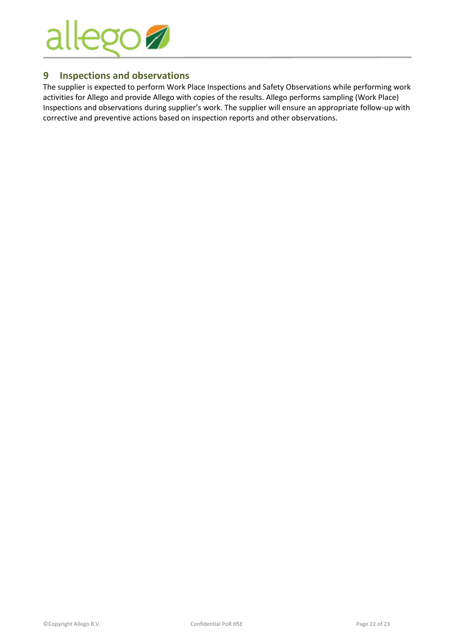

# <span id="page-21-0"></span>**9 Inspections and observations**

The supplier is expected to perform Work Place Inspections and Safety Observations while performing work activities for Allego and provide Allego with copies of the results. Allego performs sampling (Work Place) Inspections and observations during supplier's work. The supplier will ensure an appropriate follow-up with corrective and preventive actions based on inspection reports and other observations.